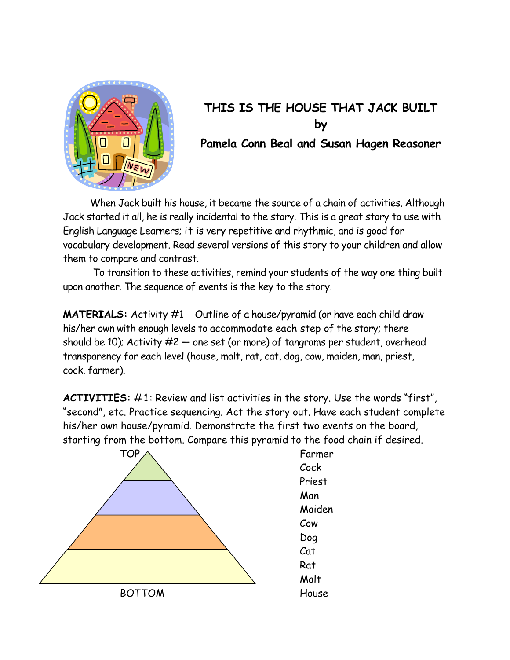

## **THIS IS THE HOUSE THAT JACK BUILT by Pamela Conn Beal and Susan Hagen Reasoner**

 When Jack built his house, it became the source of a chain of activities. Although Jack started it all, he is really incidental to the story. This is a great story to use with English Language Learners; it is very repetitive and rhythmic, and is good for vocabulary development. Read several versions of this story to your children and allow them to compare and contrast.

To transition to these activities, remind your students of the way one thing built upon another. The sequence of events is the key to the story.

**MATERIALS:** Activity #1-- Outline of a house/pyramid (or have each child draw his/her own with enough levels to accommodate each step of the story; there should be 10); Activity  $#2$  — one set (or more) of tangrams per student, overhead transparency for each level (house, malt, rat, cat, dog, cow, maiden, man, priest, cock. farmer).

**ACTIVITIES:** #1: Review and list activities in the story. Use the words "first", "second", etc. Practice sequencing. Act the story out. Have each student complete his/her own house/pyramid. Demonstrate the first two events on the board, starting from the bottom. Compare this pyramid to the food chain if desired.



Maiden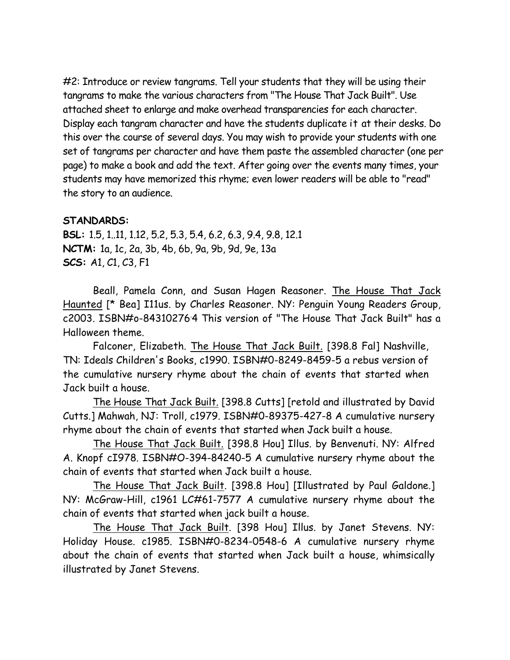#2: Introduce or review tangrams. Tell your students that they will be using their tangrams to make the various characters from "The House That Jack Built". Use attached sheet to enlarge and make overhead transparencies for each character. Display each tangram character and have the students duplicate it at their desks. Do this over the course of several days. You may wish to provide your students with one set of tangrams per character and have them paste the assembled character (one per page) to make a book and add the text. After going over the events many times, your students may have memorized this rhyme; even lower readers will be able to "read" the story to an audience.

## **STANDARDS:**

**BSL:** 1.5, 1..11, 1.12, 5.2, 5.3, 5.4, 6.2, 6.3, 9.4, 9.8, 12.1 **NCTM:** 1a, 1c, 2a, 3b, 4b, 6b, 9a, 9b, 9d, 9e, 13a **SCS:** A1, C1, C3, F1

Beall, Pamela Conn, and Susan Hagen Reasoner. The House That Jack Haunted [\* Bea] I11us. by Charles Reasoner. NY: Penguin Young Readers Group, c2003. ISBN#o-843102764 This version of "The House That Jack Built" has a Halloween theme.

Falconer, Elizabeth. The House That Jack Built. [398.8 Fal] Nashville, TN: Ideals Children's Books, c1990. ISBN#0-8249-8459-5 a rebus version of the cumulative nursery rhyme about the chain of events that started when Jack built a house.

The House That Jack Built. [398.8 Cutts] [retold and illustrated by David Cutts.] Mahwah, NJ: Troll, c1979. ISBN#0-89375-427-8 A cumulative nursery rhyme about the chain of events that started when Jack built a house.

The House That Jack Built. [398.8 Hou] Illus. by Benvenuti. NY: Alfred A. Knopf cI978. ISBN#O-394-84240-5 A cumulative nursery rhyme about the chain of events that started when Jack built a house.

The House That Jack Built. [398.8 Hou] [Illustrated by Paul Galdone.] NY: McGraw-Hill, c1961 LC#61-7577 A cumulative nursery rhyme about the chain of events that started when jack built a house.

The House That Jack Built. [398 Hou] Illus. by Janet Stevens. NY: Holiday House. c1985. ISBN#0-8234-0548-6 A cumulative nursery rhyme about the chain of events that started when Jack built a house, whimsically illustrated by Janet Stevens.